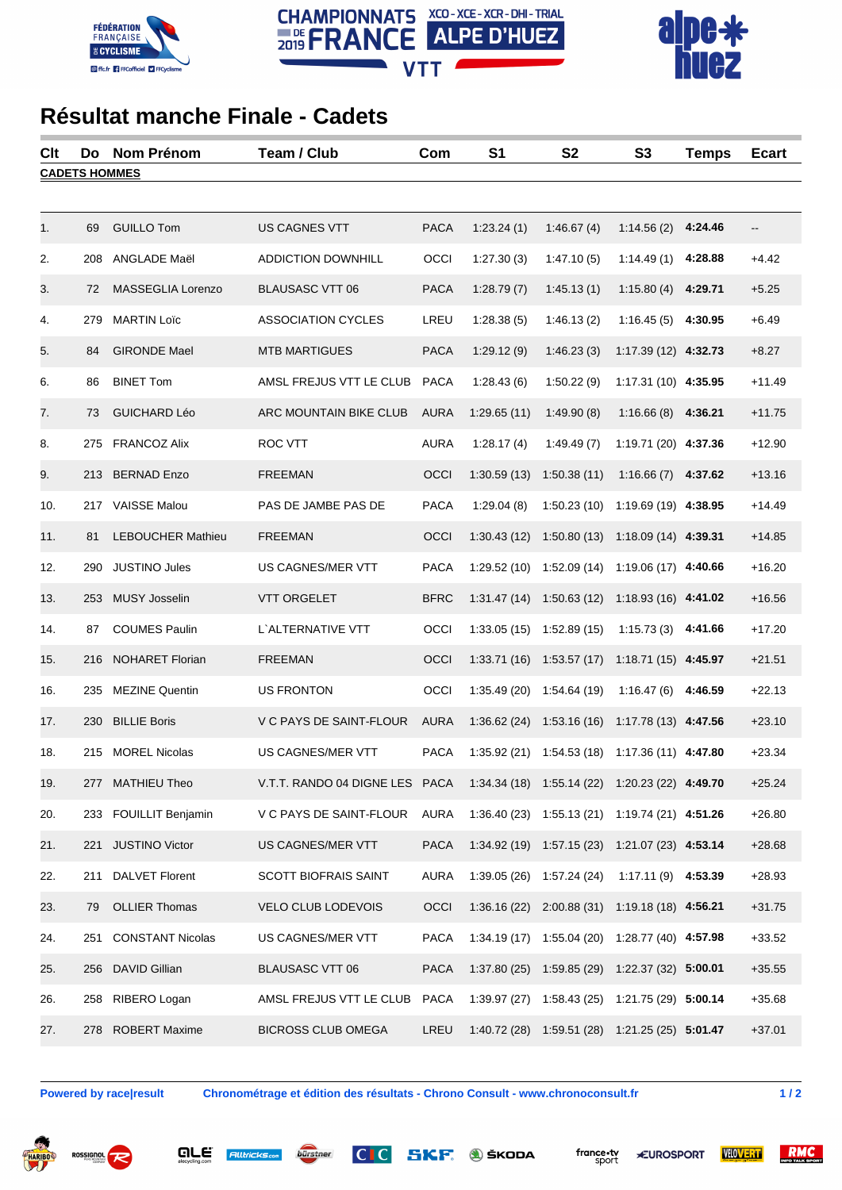





## **Résultat manche Finale - Cadets**

| Clt                  | Do  | Nom Prénom               | Team / Club                                                                   | Com         | S <sub>1</sub> | S <sub>2</sub>                                 | S <sub>3</sub>        | <b>Temps</b> | <b>Ecart</b> |  |
|----------------------|-----|--------------------------|-------------------------------------------------------------------------------|-------------|----------------|------------------------------------------------|-----------------------|--------------|--------------|--|
| <b>CADETS HOMMES</b> |     |                          |                                                                               |             |                |                                                |                       |              |              |  |
|                      |     |                          |                                                                               |             |                |                                                |                       |              |              |  |
| 1.                   | 69  | <b>GUILLO Tom</b>        | US CAGNES VTT                                                                 | <b>PACA</b> | 1:23.24(1)     | 1:46.67(4)                                     | 1:14.56(2)            | 4:24.46      | --           |  |
| 2.                   | 208 | ANGLADE Maël             | <b>ADDICTION DOWNHILL</b>                                                     | OCCI        | 1:27.30(3)     | 1:47.10(5)                                     | 1:14.49(1)            | 4:28.88      | $+4.42$      |  |
| 3.                   | 72  | MASSEGLIA Lorenzo        | <b>BLAUSASC VTT 06</b>                                                        | <b>PACA</b> | 1:28.79(7)     | 1:45.13(1)                                     | 1:15.80(4)            | 4:29.71      | $+5.25$      |  |
| 4.                   | 279 | <b>MARTIN Loïc</b>       | <b>ASSOCIATION CYCLES</b>                                                     | LREU        | 1:28.38(5)     | 1:46.13(2)                                     | 1:16.45(5)            | 4:30.95      | $+6.49$      |  |
| 5.                   | 84  | <b>GIRONDE Mael</b>      | <b>MTB MARTIGUES</b>                                                          | <b>PACA</b> | 1:29.12(9)     | 1:46.23(3)                                     | 1:17.39 (12) 4:32.73  |              | $+8.27$      |  |
| 6.                   | 86  | <b>BINET Tom</b>         | AMSL FREJUS VTT LE CLUB                                                       | <b>PACA</b> | 1:28.43(6)     | 1:50.22(9)                                     | 1:17.31 (10) 4:35.95  |              | $+11.49$     |  |
| 7.                   | 73  | <b>GUICHARD Léo</b>      | ARC MOUNTAIN BIKE CLUB                                                        | <b>AURA</b> | 1:29.65(11)    | 1:49.90(8)                                     | 1:16.66(8)            | 4:36.21      | $+11.75$     |  |
| 8.                   | 275 | <b>FRANCOZ Alix</b>      | ROC VTT                                                                       | <b>AURA</b> | 1:28.17(4)     | 1:49.49(7)                                     | 1:19.71 (20) 4:37.36  |              | $+12.90$     |  |
| 9.                   |     | 213 BERNAD Enzo          | <b>FREEMAN</b>                                                                | OCCI        | 1:30.59(13)    | 1:50.38(11)                                    | 1:16.66(7)            | 4:37.62      | $+13.16$     |  |
| 10.                  |     | 217 VAISSE Malou         | PAS DE JAMBE PAS DE                                                           | <b>PACA</b> | 1:29.04(8)     | 1:50.23(10)                                    | 1:19.69 (19) 4:38.95  |              | $+14.49$     |  |
| 11.                  | 81  | <b>LEBOUCHER Mathieu</b> | <b>FREEMAN</b>                                                                | OCCI        | 1:30.43(12)    | 1:50.80(13)                                    | $1:18.09(14)$ 4:39.31 |              | $+14.85$     |  |
| 12.                  | 290 | <b>JUSTINO Jules</b>     | US CAGNES/MER VTT                                                             | <b>PACA</b> | 1:29.52(10)    | 1:52.09(14)                                    | 1:19.06 (17) 4:40.66  |              | $+16.20$     |  |
| 13.                  | 253 | <b>MUSY Josselin</b>     | <b>VTT ORGELET</b>                                                            | <b>BFRC</b> | 1:31.47(14)    | 1:50.63(12)                                    | 1:18.93 (16) 4:41.02  |              | $+16.56$     |  |
| 14.                  | 87  | <b>COUMES Paulin</b>     | L'ALTERNATIVE VTT                                                             | OCCI        | 1:33.05(15)    | 1:52.89(15)                                    | 1:15.73(3)            | 4:41.66      | $+17.20$     |  |
| 15.                  | 216 | <b>NOHARET Florian</b>   | <b>FREEMAN</b>                                                                | OCCI        | 1:33.71(16)    | 1:53.57(17)                                    | $1:18.71(15)$ 4:45.97 |              | $+21.51$     |  |
| 16.                  | 235 | <b>MEZINE Quentin</b>    | <b>US FRONTON</b>                                                             | OCCI        | 1:35.49(20)    | 1:54.64(19)                                    | 1:16.47(6)            | 4:46.59      | $+22.13$     |  |
| 17.                  | 230 | <b>BILLIE Boris</b>      | V C PAYS DE SAINT-FLOUR                                                       | <b>AURA</b> | 1:36.62(24)    | 1:53.16(16)                                    | $1:17.78(13)$ 4:47.56 |              | $+23.10$     |  |
| 18.                  | 215 | <b>MOREL Nicolas</b>     | <b>US CAGNES/MER VTT</b>                                                      | <b>PACA</b> | 1:35.92(21)    | 1:54.53(18)                                    | $1:17.36(11)$ 4:47.80 |              | $+23.34$     |  |
| 19.                  |     | 277 MATHIEU Theo         | V.T.T. RANDO 04 DIGNE LES PACA 1:34.34 (18) 1:55.14 (22) 1:20.23 (22) 4:49.70 |             |                |                                                |                       |              | $+25.24$     |  |
| 20.                  |     | 233 FOUILLIT Benjamin    | V C PAYS DE SAINT-FLOUR AURA                                                  |             |                | 1:36.40 (23) 1:55.13 (21) 1:19.74 (21) 4:51.26 |                       |              | $+26.80$     |  |
| 21.                  |     | 221 JUSTINO Victor       | US CAGNES/MER VTT                                                             | <b>PACA</b> |                | 1:34.92 (19) 1:57.15 (23) 1:21.07 (23) 4:53.14 |                       |              | $+28.68$     |  |
| 22.                  |     | 211 DALVET Florent       | <b>SCOTT BIOFRAIS SAINT</b>                                                   | <b>AURA</b> |                | $1:39.05(26)$ $1:57.24(24)$                    | 1:17.11 (9) 4:53.39   |              | $+28.93$     |  |
| 23.                  | 79  | <b>OLLIER Thomas</b>     | VELO CLUB LODEVOIS                                                            | OCCI        |                | 1:36.16 (22) 2:00.88 (31) 1:19.18 (18) 4:56.21 |                       |              | $+31.75$     |  |
| 24.                  | 251 | <b>CONSTANT Nicolas</b>  | US CAGNES/MER VTT                                                             | <b>PACA</b> |                | 1:34.19 (17) 1:55.04 (20) 1:28.77 (40) 4:57.98 |                       |              | $+33.52$     |  |
| 25.                  |     | 256 DAVID Gillian        | <b>BLAUSASC VTT 06</b>                                                        | <b>PACA</b> |                | 1:37.80 (25) 1:59.85 (29) 1:22.37 (32) 5:00.01 |                       |              | $+35.55$     |  |
| 26.                  |     | 258 RIBERO Logan         | AMSL FREJUS VTT LE CLUB                                                       | <b>PACA</b> |                | 1:39.97 (27) 1:58.43 (25) 1:21.75 (29) 5:00.14 |                       |              | $+35.68$     |  |
| 27.                  |     | 278 ROBERT Maxime        | <b>BICROSS CLUB OMEGA</b>                                                     | LREU        |                | 1:40.72 (28) 1:59.51 (28) 1:21.25 (25) 5:01.47 |                       |              | $+37.01$     |  |

**Powered by race result** 

Chronométrage et édition des résultats - Chrono Consult - www.chronoconsult.fr

 $1/2$